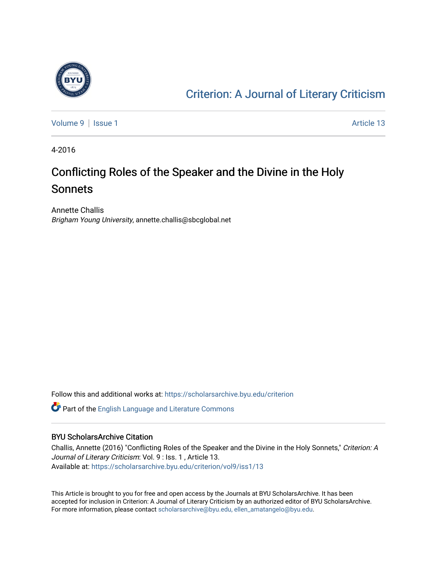

## [Criterion: A Journal of Literary Criticism](https://scholarsarchive.byu.edu/criterion)

[Volume 9](https://scholarsarchive.byu.edu/criterion/vol9) | [Issue 1](https://scholarsarchive.byu.edu/criterion/vol9/iss1) Article 13

4-2016

## Conflicting Roles of the Speaker and the Divine in the Holy Sonnets

Annette Challis Brigham Young University, annette.challis@sbcglobal.net

Follow this and additional works at: [https://scholarsarchive.byu.edu/criterion](https://scholarsarchive.byu.edu/criterion?utm_source=scholarsarchive.byu.edu%2Fcriterion%2Fvol9%2Fiss1%2F13&utm_medium=PDF&utm_campaign=PDFCoverPages) 

Part of the [English Language and Literature Commons](http://network.bepress.com/hgg/discipline/455?utm_source=scholarsarchive.byu.edu%2Fcriterion%2Fvol9%2Fiss1%2F13&utm_medium=PDF&utm_campaign=PDFCoverPages)

#### BYU ScholarsArchive Citation

Challis, Annette (2016) "Conflicting Roles of the Speaker and the Divine in the Holy Sonnets," Criterion: A Journal of Literary Criticism: Vol. 9 : Iss. 1 , Article 13. Available at: [https://scholarsarchive.byu.edu/criterion/vol9/iss1/13](https://scholarsarchive.byu.edu/criterion/vol9/iss1/13?utm_source=scholarsarchive.byu.edu%2Fcriterion%2Fvol9%2Fiss1%2F13&utm_medium=PDF&utm_campaign=PDFCoverPages)

This Article is brought to you for free and open access by the Journals at BYU ScholarsArchive. It has been accepted for inclusion in Criterion: A Journal of Literary Criticism by an authorized editor of BYU ScholarsArchive. For more information, please contact [scholarsarchive@byu.edu, ellen\\_amatangelo@byu.edu](mailto:scholarsarchive@byu.edu,%20ellen_amatangelo@byu.edu).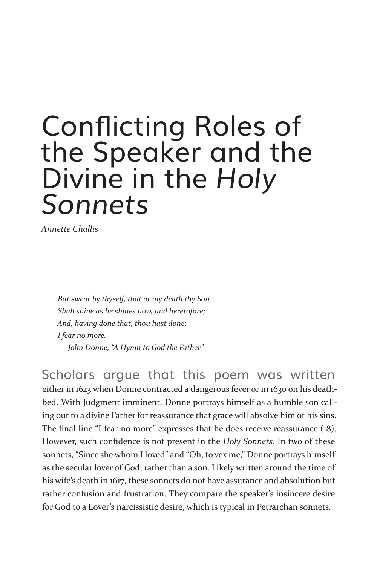# Conflicting Roles of the Speaker and the Divine in the *Holy Sonnets*

*Annette Challis*

*But swear by thyself, that at my death thy Son Shall shine as he shines now, and heretofore; And, having done that, thou hast done; I fear no more. —John Donne, "A Hymn to God the Father"*

Scholars argue that this poem was written either in 1623 when Donne contracted a dangerous fever or in 1630 on his deathbed. With Judgment imminent, Donne portrays himself as a humble son calling out to a divine Father for reassurance that grace will absolve him of his sins. The final line "I fear no more" expresses that he does receive reassurance (18). However, such confidence is not present in the *Holy Sonnets.* In two of these sonnets, "Since she whom I loved" and "Oh, to vex me," Donne portrays himself as the secular lover of God, rather than a son. Likely written around the time of his wife's death in 1617, these sonnets do not have assurance and absolution but rather confusion and frustration. They compare the speaker's insincere desire for God to a Lover's narcissistic desire, which is typical in Petrarchan sonnets.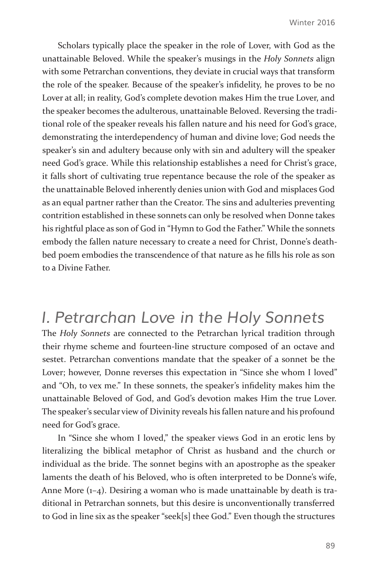Scholars typically place the speaker in the role of Lover, with God as the unattainable Beloved. While the speaker's musings in the *Holy Sonnets* align with some Petrarchan conventions, they deviate in crucial ways that transform the role of the speaker. Because of the speaker's infidelity, he proves to be no Lover at all; in reality, God's complete devotion makes Him the true Lover, and the speaker becomes the adulterous, unattainable Beloved. Reversing the traditional role of the speaker reveals his fallen nature and his need for God's grace, demonstrating the interdependency of human and divine love; God needs the speaker's sin and adultery because only with sin and adultery will the speaker need God's grace. While this relationship establishes a need for Christ's grace, it falls short of cultivating true repentance because the role of the speaker as the unattainable Beloved inherently denies union with God and misplaces God as an equal partner rather than the Creator. The sins and adulteries preventing contrition established in these sonnets can only be resolved when Donne takes his rightful place as son of God in "Hymn to God the Father." While the sonnets embody the fallen nature necessary to create a need for Christ, Donne's deathbed poem embodies the transcendence of that nature as he fills his role as son to a Divine Father.

### *I. Petrarchan Love in the Holy Sonnets*

The *Holy Sonnets* are connected to the Petrarchan lyrical tradition through their rhyme scheme and fourteen-line structure composed of an octave and sestet. Petrarchan conventions mandate that the speaker of a sonnet be the Lover; however, Donne reverses this expectation in "Since she whom I loved" and "Oh, to vex me." In these sonnets, the speaker's infidelity makes him the unattainable Beloved of God, and God's devotion makes Him the true Lover. The speaker's secular view of Divinity reveals his fallen nature and his profound need for God's grace.

In "Since she whom I loved," the speaker views God in an erotic lens by literalizing the biblical metaphor of Christ as husband and the church or individual as the bride. The sonnet begins with an apostrophe as the speaker laments the death of his Beloved, who is often interpreted to be Donne's wife, Anne More (1–4). Desiring a woman who is made unattainable by death is traditional in Petrarchan sonnets, but this desire is unconventionally transferred to God in line six as the speaker "seek[s] thee God." Even though the structures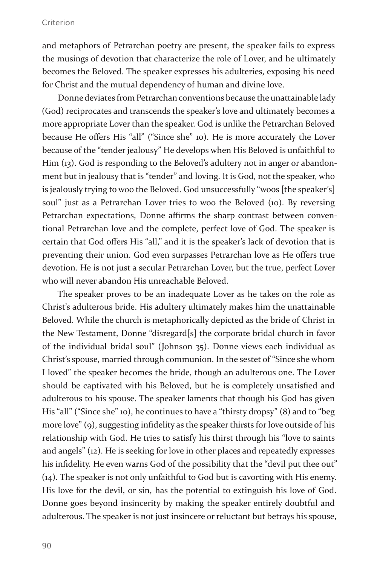#### Criterion

and metaphors of Petrarchan poetry are present, the speaker fails to express the musings of devotion that characterize the role of Lover, and he ultimately becomes the Beloved. The speaker expresses his adulteries, exposing his need for Christ and the mutual dependency of human and divine love.

Donne deviates from Petrarchan conventions because the unattainable lady (God) reciprocates and transcends the speaker's love and ultimately becomes a more appropriate Lover than the speaker. God is unlike the Petrarchan Beloved because He offers His "all" ("Since she" 10). He is more accurately the Lover because of the "tender jealousy" He develops when His Beloved is unfaithful to Him (13). God is responding to the Beloved's adultery not in anger or abandonment but in jealousy that is "tender" and loving. It is God, not the speaker, who is jealously trying to woo the Beloved. God unsuccessfully "woos [the speaker's] soul" just as a Petrarchan Lover tries to woo the Beloved (10). By reversing Petrarchan expectations, Donne affirms the sharp contrast between conventional Petrarchan love and the complete, perfect love of God. The speaker is certain that God offers His "all," and it is the speaker's lack of devotion that is preventing their union. God even surpasses Petrarchan love as He offers true devotion. He is not just a secular Petrarchan Lover, but the true, perfect Lover who will never abandon His unreachable Beloved.

The speaker proves to be an inadequate Lover as he takes on the role as Christ's adulterous bride. His adultery ultimately makes him the unattainable Beloved. While the church is metaphorically depicted as the bride of Christ in the New Testament, Donne "disregard[s] the corporate bridal church in favor of the individual bridal soul" (Johnson 35). Donne views each individual as Christ's spouse, married through communion. In the sestet of "Since she whom I loved" the speaker becomes the bride, though an adulterous one. The Lover should be captivated with his Beloved, but he is completely unsatisfied and adulterous to his spouse. The speaker laments that though his God has given His "all" ("Since she" 10), he continues to have a "thirsty dropsy" (8) and to "beg more love" (9), suggesting infidelity as the speaker thirsts for love outside of his relationship with God. He tries to satisfy his thirst through his "love to saints and angels" (12). He is seeking for love in other places and repeatedly expresses his infidelity. He even warns God of the possibility that the "devil put thee out" (14). The speaker is not only unfaithful to God but is cavorting with His enemy. His love for the devil, or sin, has the potential to extinguish his love of God. Donne goes beyond insincerity by making the speaker entirely doubtful and adulterous. The speaker is not just insincere or reluctant but betrays his spouse,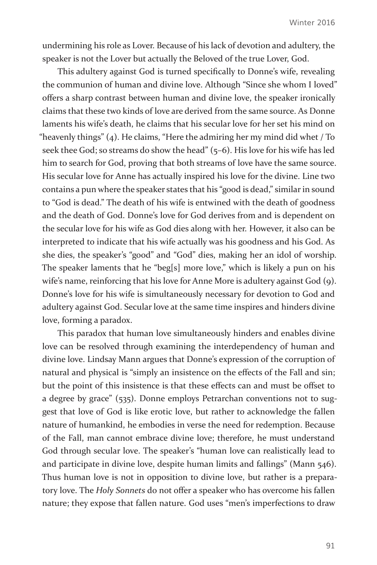undermining his role as Lover. Because of his lack of devotion and adultery, the speaker is not the Lover but actually the Beloved of the true Lover, God.

This adultery against God is turned specifically to Donne's wife, revealing the communion of human and divine love. Although "Since she whom I loved" offers a sharp contrast between human and divine love, the speaker ironically claims that these two kinds of love are derived from the same source. As Donne laments his wife's death, he claims that his secular love for her set his mind on "heavenly things" (4). He claims, "Here the admiring her my mind did whet / To seek thee God; so streams do show the head" (5-6). His love for his wife has led him to search for God, proving that both streams of love have the same source. His secular love for Anne has actually inspired his love for the divine. Line two contains a pun where the speaker states that his "good is dead," similar in sound to "God is dead." The death of his wife is entwined with the death of goodness and the death of God. Donne's love for God derives from and is dependent on the secular love for his wife as God dies along with her. However, it also can be interpreted to indicate that his wife actually was his goodness and his God. As she dies, the speaker's "good" and "God" dies, making her an idol of worship. The speaker laments that he "beg[s] more love," which is likely a pun on his wife's name, reinforcing that his love for Anne More is adultery against God (9). Donne's love for his wife is simultaneously necessary for devotion to God and adultery against God. Secular love at the same time inspires and hinders divine love, forming a paradox.

This paradox that human love simultaneously hinders and enables divine love can be resolved through examining the interdependency of human and divine love. Lindsay Mann argues that Donne's expression of the corruption of natural and physical is "simply an insistence on the effects of the Fall and sin; but the point of this insistence is that these effects can and must be offset to a degree by grace" (535). Donne employs Petrarchan conventions not to suggest that love of God is like erotic love, but rather to acknowledge the fallen nature of humankind, he embodies in verse the need for redemption. Because of the Fall, man cannot embrace divine love; therefore, he must understand God through secular love. The speaker's "human love can realistically lead to and participate in divine love, despite human limits and fallings" (Mann 546). Thus human love is not in opposition to divine love, but rather is a preparatory love. The *Holy Sonnets* do not offer a speaker who has overcome his fallen nature; they expose that fallen nature. God uses "men's imperfections to draw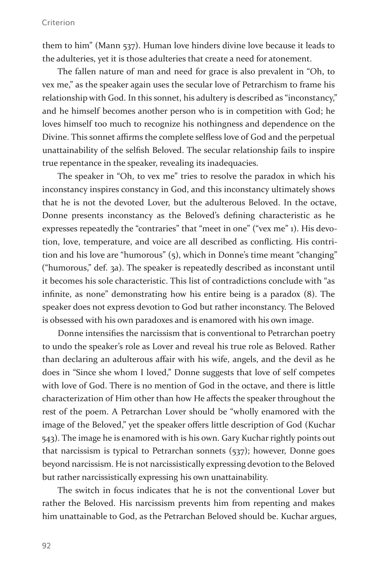#### Criterion

them to him" (Mann 537). Human love hinders divine love because it leads to the adulteries, yet it is those adulteries that create a need for atonement.

The fallen nature of man and need for grace is also prevalent in "Oh, to vex me," as the speaker again uses the secular love of Petrarchism to frame his relationship with God. In this sonnet, his adultery is described as "inconstancy," and he himself becomes another person who is in competition with God; he loves himself too much to recognize his nothingness and dependence on the Divine. This sonnet affirms the complete selfless love of God and the perpetual unattainability of the selfish Beloved. The secular relationship fails to inspire true repentance in the speaker, revealing its inadequacies.

The speaker in "Oh, to vex me" tries to resolve the paradox in which his inconstancy inspires constancy in God, and this inconstancy ultimately shows that he is not the devoted Lover, but the adulterous Beloved. In the octave, Donne presents inconstancy as the Beloved's defining characteristic as he expresses repeatedly the "contraries" that "meet in one" ("vex me" 1). His devotion, love, temperature, and voice are all described as conflicting. His contrition and his love are "humorous" (5), which in Donne's time meant "changing" ("humorous," def. 3a). The speaker is repeatedly described as inconstant until it becomes his sole characteristic. This list of contradictions conclude with "as infinite, as none" demonstrating how his entire being is a paradox (8). The speaker does not express devotion to God but rather inconstancy. The Beloved is obsessed with his own paradoxes and is enamored with his own image.

Donne intensifies the narcissism that is conventional to Petrarchan poetry to undo the speaker's role as Lover and reveal his true role as Beloved. Rather than declaring an adulterous affair with his wife, angels, and the devil as he does in "Since she whom I loved," Donne suggests that love of self competes with love of God. There is no mention of God in the octave, and there is little characterization of Him other than how He affects the speaker throughout the rest of the poem. A Petrarchan Lover should be "wholly enamored with the image of the Beloved," yet the speaker offers little description of God (Kuchar 543). The image he is enamored with is his own. Gary Kuchar rightly points out that narcissism is typical to Petrarchan sonnets (537); however, Donne goes beyond narcissism. He is not narcissistically expressing devotion to the Beloved but rather narcissistically expressing his own unattainability.

The switch in focus indicates that he is not the conventional Lover but rather the Beloved. His narcissism prevents him from repenting and makes him unattainable to God, as the Petrarchan Beloved should be. Kuchar argues,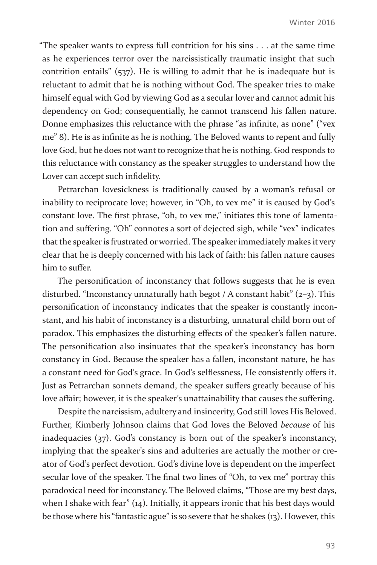"The speaker wants to express full contrition for his sins . . . at the same time as he experiences terror over the narcissistically traumatic insight that such contrition entails" (537). He is willing to admit that he is inadequate but is reluctant to admit that he is nothing without God. The speaker tries to make himself equal with God by viewing God as a secular lover and cannot admit his dependency on God; consequentially, he cannot transcend his fallen nature. Donne emphasizes this reluctance with the phrase "as infinite, as none" ("vex me" 8). He is as infinite as he is nothing. The Beloved wants to repent and fully love God, but he does not want to recognize that he is nothing. God responds to this reluctance with constancy as the speaker struggles to understand how the Lover can accept such infidelity.

Petrarchan lovesickness is traditionally caused by a woman's refusal or inability to reciprocate love; however, in "Oh, to vex me" it is caused by God's constant love. The first phrase, "oh, to vex me," initiates this tone of lamentation and suffering. "Oh" connotes a sort of dejected sigh, while "vex" indicates that the speaker is frustrated or worried. The speaker immediately makes it very clear that he is deeply concerned with his lack of faith: his fallen nature causes him to suffer.

The personification of inconstancy that follows suggests that he is even disturbed. "Inconstancy unnaturally hath begot / A constant habit"  $(z-z)$ . This personification of inconstancy indicates that the speaker is constantly inconstant, and his habit of inconstancy is a disturbing, unnatural child born out of paradox. This emphasizes the disturbing effects of the speaker's fallen nature. The personification also insinuates that the speaker's inconstancy has born constancy in God. Because the speaker has a fallen, inconstant nature, he has a constant need for God's grace. In God's selflessness, He consistently offers it. Just as Petrarchan sonnets demand, the speaker suffers greatly because of his love affair; however, it is the speaker's unattainability that causes the suffering.

Despite the narcissism, adultery and insincerity, God still loves His Beloved. Further, Kimberly Johnson claims that God loves the Beloved *because* of his inadequacies (37). God's constancy is born out of the speaker's inconstancy, implying that the speaker's sins and adulteries are actually the mother or creator of God's perfect devotion. God's divine love is dependent on the imperfect secular love of the speaker. The final two lines of "Oh, to vex me" portray this paradoxical need for inconstancy. The Beloved claims, "Those are my best days, when I shake with fear" (14). Initially, it appears ironic that his best days would be those where his "fantastic ague" is so severe that he shakes (13). However, this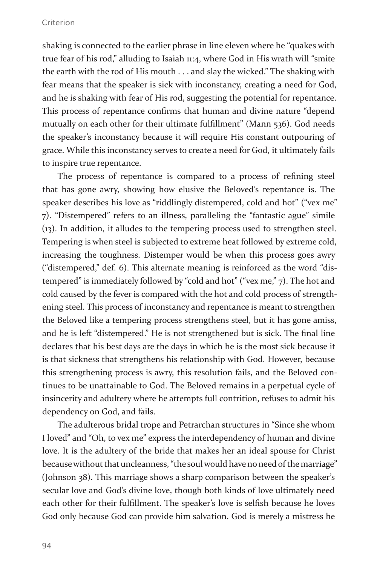#### Criterion

shaking is connected to the earlier phrase in line eleven where he "quakes with true fear of his rod," alluding to Isaiah 11:4, where God in His wrath will "smite the earth with the rod of His mouth . . . and slay the wicked." The shaking with fear means that the speaker is sick with inconstancy, creating a need for God, and he is shaking with fear of His rod, suggesting the potential for repentance. This process of repentance confirms that human and divine nature "depend mutually on each other for their ultimate fulfillment" (Mann 536). God needs the speaker's inconstancy because it will require His constant outpouring of grace. While this inconstancy serves to create a need for God, it ultimately fails to inspire true repentance.

The process of repentance is compared to a process of refining steel that has gone awry, showing how elusive the Beloved's repentance is. The speaker describes his love as "riddlingly distempered, cold and hot" ("vex me" 7). "Distempered" refers to an illness, paralleling the "fantastic ague" simile (13). In addition, it alludes to the tempering process used to strengthen steel. Tempering is when steel is subjected to extreme heat followed by extreme cold, increasing the toughness. Distemper would be when this process goes awry ("distempered," def. 6). This alternate meaning is reinforced as the word "distempered" is immediately followed by "cold and hot" ("vex me," 7). The hot and cold caused by the fever is compared with the hot and cold process of strengthening steel. This process of inconstancy and repentance is meant to strengthen the Beloved like a tempering process strengthens steel, but it has gone amiss, and he is left "distempered." He is not strengthened but is sick. The final line declares that his best days are the days in which he is the most sick because it is that sickness that strengthens his relationship with God. However, because this strengthening process is awry, this resolution fails, and the Beloved continues to be unattainable to God. The Beloved remains in a perpetual cycle of insincerity and adultery where he attempts full contrition, refuses to admit his dependency on God, and fails.

The adulterous bridal trope and Petrarchan structures in "Since she whom I loved" and "Oh, to vex me" express the interdependency of human and divine love. It is the adultery of the bride that makes her an ideal spouse for Christ because without that uncleanness, "the soul would have no need of the marriage" (Johnson 38). This marriage shows a sharp comparison between the speaker's secular love and God's divine love, though both kinds of love ultimately need each other for their fulfillment. The speaker's love is selfish because he loves God only because God can provide him salvation. God is merely a mistress he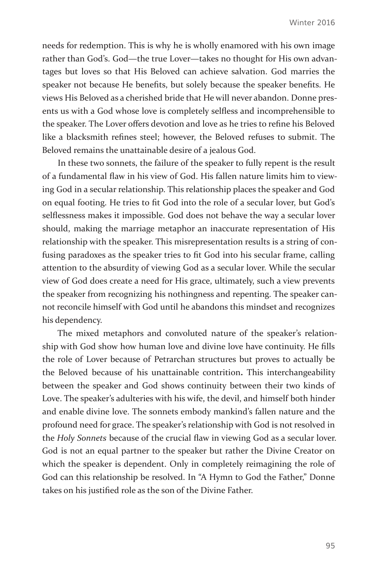needs for redemption. This is why he is wholly enamored with his own image rather than God's. God—the true Lover—takes no thought for His own advantages but loves so that His Beloved can achieve salvation. God marries the speaker not because He benefits, but solely because the speaker benefits. He views His Beloved as a cherished bride that He will never abandon. Donne presents us with a God whose love is completely selfless and incomprehensible to the speaker. The Lover offers devotion and love as he tries to refine his Beloved like a blacksmith refines steel; however, the Beloved refuses to submit. The Beloved remains the unattainable desire of a jealous God.

In these two sonnets, the failure of the speaker to fully repent is the result of a fundamental flaw in his view of God. His fallen nature limits him to viewing God in a secular relationship. This relationship places the speaker and God on equal footing. He tries to fit God into the role of a secular lover, but God's selflessness makes it impossible. God does not behave the way a secular lover should, making the marriage metaphor an inaccurate representation of His relationship with the speaker. This misrepresentation results is a string of confusing paradoxes as the speaker tries to fit God into his secular frame, calling attention to the absurdity of viewing God as a secular lover. While the secular view of God does create a need for His grace, ultimately, such a view prevents the speaker from recognizing his nothingness and repenting. The speaker cannot reconcile himself with God until he abandons this mindset and recognizes his dependency.

The mixed metaphors and convoluted nature of the speaker's relationship with God show how human love and divine love have continuity. He fills the role of Lover because of Petrarchan structures but proves to actually be the Beloved because of his unattainable contrition**.** This interchangeability between the speaker and God shows continuity between their two kinds of Love. The speaker's adulteries with his wife, the devil, and himself both hinder and enable divine love. The sonnets embody mankind's fallen nature and the profound need for grace. The speaker's relationship with God is not resolved in the *Holy Sonnets* because of the crucial flaw in viewing God as a secular lover. God is not an equal partner to the speaker but rather the Divine Creator on which the speaker is dependent. Only in completely reimagining the role of God can this relationship be resolved. In "A Hymn to God the Father," Donne takes on his justified role as the son of the Divine Father.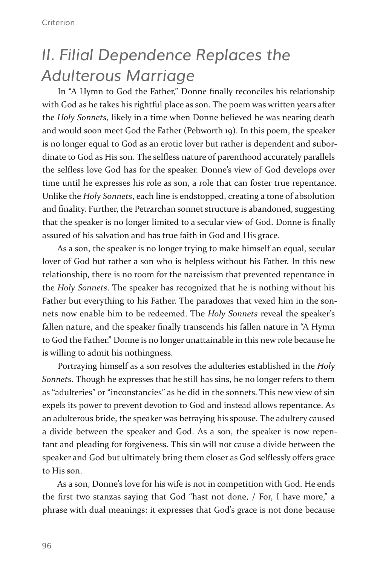## *II. Filial Dependence Replaces the Adulterous Marriage*

In "A Hymn to God the Father," Donne finally reconciles his relationship with God as he takes his rightful place as son. The poem was written years after the *Holy Sonnets*, likely in a time when Donne believed he was nearing death and would soon meet God the Father (Pebworth 19). In this poem, the speaker is no longer equal to God as an erotic lover but rather is dependent and subordinate to God as His son. The selfless nature of parenthood accurately parallels the selfless love God has for the speaker. Donne's view of God develops over time until he expresses his role as son, a role that can foster true repentance. Unlike the *Holy Sonnets*, each line is endstopped, creating a tone of absolution and finality. Further, the Petrarchan sonnet structure is abandoned, suggesting that the speaker is no longer limited to a secular view of God. Donne is finally assured of his salvation and has true faith in God and His grace.

As a son, the speaker is no longer trying to make himself an equal, secular lover of God but rather a son who is helpless without his Father. In this new relationship, there is no room for the narcissism that prevented repentance in the *Holy Sonnets*. The speaker has recognized that he is nothing without his Father but everything to his Father. The paradoxes that vexed him in the sonnets now enable him to be redeemed. The *Holy Sonnets* reveal the speaker's fallen nature, and the speaker finally transcends his fallen nature in "A Hymn to God the Father." Donne is no longer unattainable in this new role because he is willing to admit his nothingness.

Portraying himself as a son resolves the adulteries established in the *Holy Sonnets*. Though he expresses that he still has sins, he no longer refers to them as "adulteries" or "inconstancies" as he did in the sonnets. This new view of sin expels its power to prevent devotion to God and instead allows repentance. As an adulterous bride, the speaker was betraying his spouse. The adultery caused a divide between the speaker and God. As a son, the speaker is now repentant and pleading for forgiveness. This sin will not cause a divide between the speaker and God but ultimately bring them closer as God selflessly offers grace to His son.

As a son, Donne's love for his wife is not in competition with God. He ends the first two stanzas saying that God "hast not done, / For, I have more," a phrase with dual meanings: it expresses that God's grace is not done because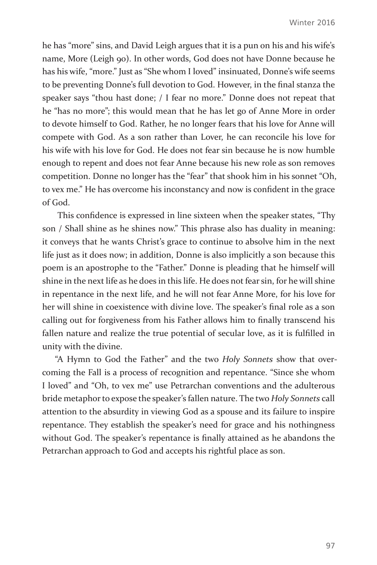he has "more" sins, and David Leigh argues that it is a pun on his and his wife's name, More (Leigh 90). In other words, God does not have Donne because he has his wife, "more." Just as "She whom I loved" insinuated, Donne's wife seems to be preventing Donne's full devotion to God. However, in the final stanza the speaker says "thou hast done; / I fear no more." Donne does not repeat that he "has no more"; this would mean that he has let go of Anne More in order to devote himself to God. Rather, he no longer fears that his love for Anne will compete with God. As a son rather than Lover, he can reconcile his love for his wife with his love for God. He does not fear sin because he is now humble enough to repent and does not fear Anne because his new role as son removes competition. Donne no longer has the "fear" that shook him in his sonnet "Oh, to vex me." He has overcome his inconstancy and now is confident in the grace of God.

This confidence is expressed in line sixteen when the speaker states, "Thy son / Shall shine as he shines now." This phrase also has duality in meaning: it conveys that he wants Christ's grace to continue to absolve him in the next life just as it does now; in addition, Donne is also implicitly a son because this poem is an apostrophe to the "Father." Donne is pleading that he himself will shine in the next life as he does in this life. He does not fear sin, for he will shine in repentance in the next life, and he will not fear Anne More, for his love for her will shine in coexistence with divine love. The speaker's final role as a son calling out for forgiveness from his Father allows him to finally transcend his fallen nature and realize the true potential of secular love, as it is fulfilled in unity with the divine.

"A Hymn to God the Father" and the two *Holy Sonnets* show that overcoming the Fall is a process of recognition and repentance. "Since she whom I loved" and "Oh, to vex me" use Petrarchan conventions and the adulterous bride metaphor to expose the speaker's fallen nature. The two *Holy Sonnets* call attention to the absurdity in viewing God as a spouse and its failure to inspire repentance. They establish the speaker's need for grace and his nothingness without God. The speaker's repentance is finally attained as he abandons the Petrarchan approach to God and accepts his rightful place as son.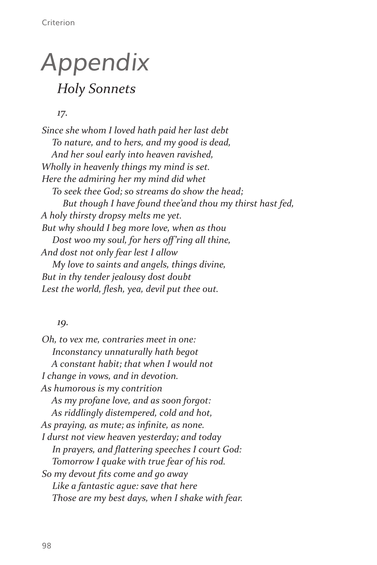## *Appendix Holy Sonnets*

*17.*

*Since she whom I loved hath paid her last debt To nature, and to hers, and my good is dead, And her soul early into heaven ravished, Wholly in heavenly things my mind is set. Here the admiring her my mind did whet To seek thee God; so streams do show the head; But though I have found thee'and thou my thirst hast fed, A holy thirsty dropsy melts me yet. But why should I beg more love, when as thou Dost woo my soul, for hers off'ring all thine, And dost not only fear lest I allow My love to saints and angels, things divine, But in thy tender jealousy dost doubt Lest the world, flesh, yea, devil put thee out.*

#### *19.*

*Oh, to vex me, contraries meet in one: Inconstancy unnaturally hath begot A constant habit; that when I would not I change in vows, and in devotion. As humorous is my contrition As my profane love, and as soon forgot: As riddlingly distempered, cold and hot, As praying, as mute; as infinite, as none. I durst not view heaven yesterday; and today In prayers, and flattering speeches I court God: Tomorrow I quake with true fear of his rod. So my devout fits come and go away Like a fantastic ague: save that here Those are my best days, when I shake with fear.*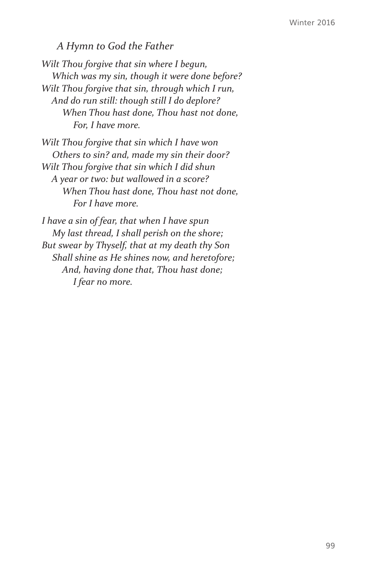#### *A Hymn to God the Father*

*Wilt Thou forgive that sin where I begun, Which was my sin, though it were done before? Wilt Thou forgive that sin, through which I run, And do run still: though still I do deplore? When Thou hast done, Thou hast not done, For, I have more.*

*Wilt Thou forgive that sin which I have won Others to sin? and, made my sin their door? Wilt Thou forgive that sin which I did shun A year or two: but wallowed in a score? When Thou hast done, Thou hast not done, For I have more.*

*I have a sin of fear, that when I have spun My last thread, I shall perish on the shore; But swear by Thyself, that at my death thy Son Shall shine as He shines now, and heretofore; And, having done that, Thou hast done; I fear no more.*